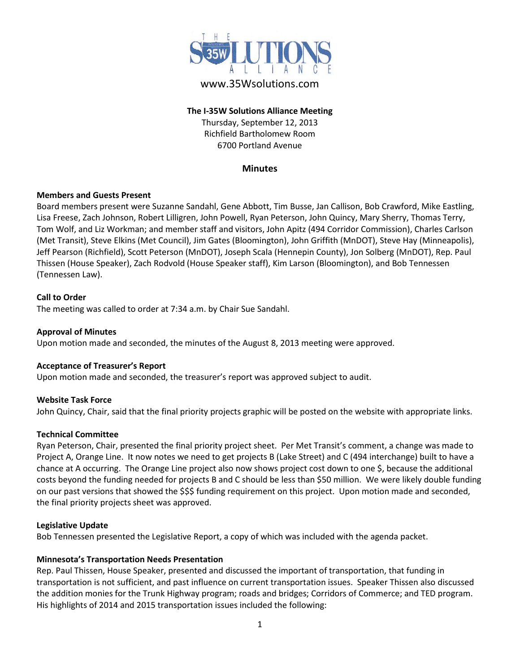

# www.35Wsolutions.com

### **The I-35W Solutions Alliance Meeting** Thursday, September 12, 2013 Richfield Bartholomew Room 6700 Portland Avenue

#### **Minutes**

#### **Members and Guests Present**

Board members present were Suzanne Sandahl, Gene Abbott, Tim Busse, Jan Callison, Bob Crawford, Mike Eastling, Lisa Freese, Zach Johnson, Robert Lilligren, John Powell, Ryan Peterson, John Quincy, Mary Sherry, Thomas Terry, Tom Wolf, and Liz Workman; and member staff and visitors, John Apitz (494 Corridor Commission), Charles Carlson (Met Transit), Steve Elkins (Met Council), Jim Gates (Bloomington), John Griffith (MnDOT), Steve Hay (Minneapolis), Jeff Pearson (Richfield), Scott Peterson (MnDOT), Joseph Scala (Hennepin County), Jon Solberg (MnDOT), Rep. Paul Thissen (House Speaker), Zach Rodvold (House Speaker staff), Kim Larson (Bloomington), and Bob Tennessen (Tennessen Law).

#### **Call to Order**

The meeting was called to order at 7:34 a.m. by Chair Sue Sandahl.

#### **Approval of Minutes**

Upon motion made and seconded, the minutes of the August 8, 2013 meeting were approved.

#### **Acceptance of Treasurer's Report**

Upon motion made and seconded, the treasurer's report was approved subject to audit.

#### **Website Task Force**

John Quincy, Chair, said that the final priority projects graphic will be posted on the website with appropriate links.

#### **Technical Committee**

Ryan Peterson, Chair, presented the final priority project sheet. Per Met Transit's comment, a change was made to Project A, Orange Line. It now notes we need to get projects B (Lake Street) and C (494 interchange) built to have a chance at A occurring. The Orange Line project also now shows project cost down to one \$, because the additional costs beyond the funding needed for projects B and C should be less than \$50 million. We were likely double funding on our past versions that showed the \$\$\$ funding requirement on this project. Upon motion made and seconded, the final priority projects sheet was approved.

#### **Legislative Update**

Bob Tennessen presented the Legislative Report, a copy of which was included with the agenda packet.

#### **Minnesota's Transportation Needs Presentation**

Rep. Paul Thissen, House Speaker, presented and discussed the important of transportation, that funding in transportation is not sufficient, and past influence on current transportation issues. Speaker Thissen also discussed the addition monies for the Trunk Highway program; roads and bridges; Corridors of Commerce; and TED program. His highlights of 2014 and 2015 transportation issues included the following: